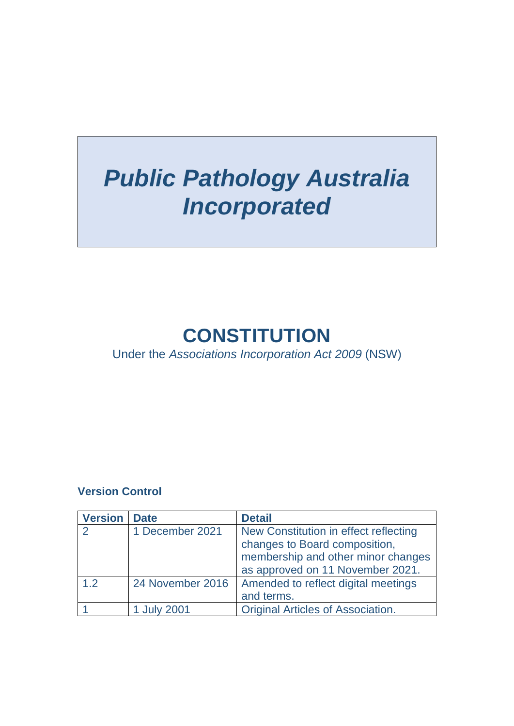# *Public Pathology Australia Incorporated*

## **CONSTITUTION**

Under the *Associations Incorporation Act 2009* (NSW)

#### **Version Control**

| <b>Version</b> | <b>Date</b>      | <b>Detail</b>                                                                                                                                    |
|----------------|------------------|--------------------------------------------------------------------------------------------------------------------------------------------------|
|                | 1 December 2021  | New Constitution in effect reflecting<br>changes to Board composition,<br>membership and other minor changes<br>as approved on 11 November 2021. |
| 1.2            | 24 November 2016 | Amended to reflect digital meetings<br>and terms.                                                                                                |
|                | 1 July 2001      | <b>Original Articles of Association.</b>                                                                                                         |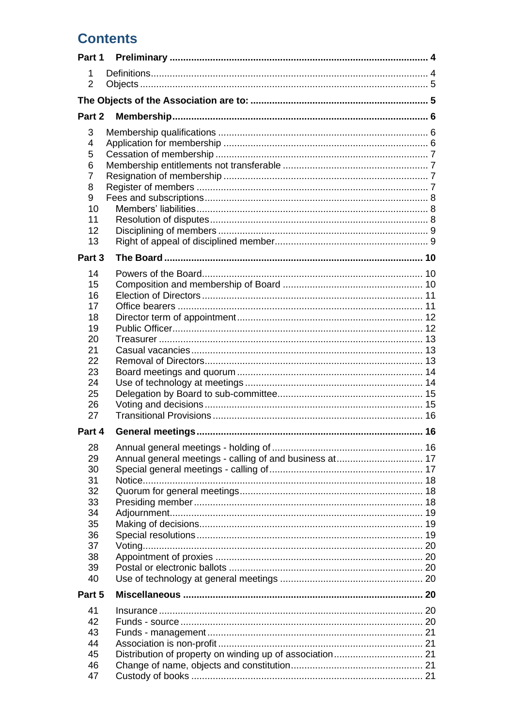## **Contents**

| Part 1              |  |  |  |
|---------------------|--|--|--|
| 1                   |  |  |  |
| $\overline{2}$      |  |  |  |
|                     |  |  |  |
| Part 2              |  |  |  |
| 3                   |  |  |  |
| 4                   |  |  |  |
| 5                   |  |  |  |
| 6                   |  |  |  |
| $\overline{7}$<br>8 |  |  |  |
| 9                   |  |  |  |
| 10                  |  |  |  |
| 11                  |  |  |  |
| 12                  |  |  |  |
| 13                  |  |  |  |
| Part 3              |  |  |  |
| 14                  |  |  |  |
| 15                  |  |  |  |
| 16                  |  |  |  |
| 17                  |  |  |  |
| 18                  |  |  |  |
| 19                  |  |  |  |
| 20                  |  |  |  |
| 21<br>22            |  |  |  |
| 23                  |  |  |  |
| 24                  |  |  |  |
| 25                  |  |  |  |
| 26                  |  |  |  |
| 27                  |  |  |  |
| Part 4              |  |  |  |
| 28                  |  |  |  |
| 29                  |  |  |  |
| 30                  |  |  |  |
| 31                  |  |  |  |
| 32                  |  |  |  |
| 33<br>34            |  |  |  |
| 35                  |  |  |  |
| 36                  |  |  |  |
| 37                  |  |  |  |
| 38                  |  |  |  |
| 39                  |  |  |  |
| 40                  |  |  |  |
| Part 5              |  |  |  |
| 41                  |  |  |  |
| 42                  |  |  |  |
| 43                  |  |  |  |
| 44                  |  |  |  |
| 45<br>46            |  |  |  |
|                     |  |  |  |
| 47                  |  |  |  |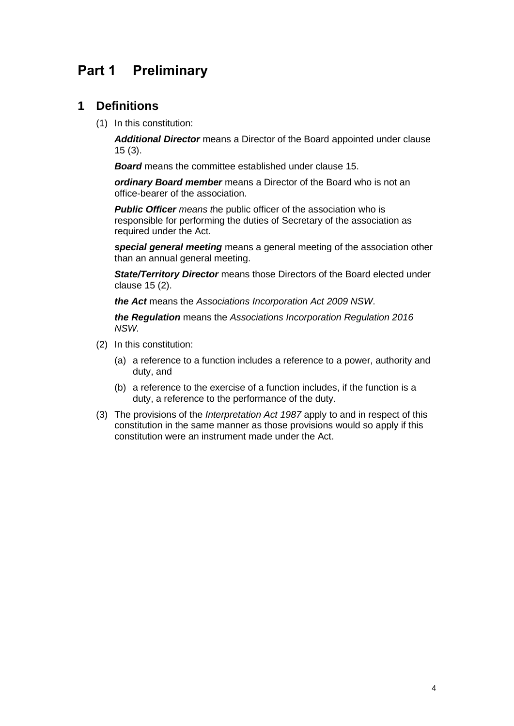## <span id="page-3-0"></span>**Part 1 Preliminary**

#### <span id="page-3-1"></span>**1 Definitions**

(1) In this constitution:

*Additional Director* means a Director of the Board appointed under clause 15 (3).

*Board* means the committee established under clause 15.

*ordinary Board member* means a Director of the Board who is not an office-bearer of the association.

*Public Officer means t*he public officer of the association who is responsible for performing the duties of Secretary of the association as required under the Act.

*special general meeting* means a general meeting of the association other than an annual general meeting.

*State/Territory Director* means those Directors of the Board elected under clause 15 (2).

*the Act* means the *[Associations Incorporation Act 2009](http://www.legislation.nsw.gov.au/xref/inforce/?xref=Type%3Dact%20AND%20Year%3D2009%20AND%20no%3D7&nohits=y) NSW*.

*the Regulation* means the *[Associations Incorporation Regulation 2016](http://www.legislation.nsw.gov.au/xref/inforce/?xref=Type%3Dsubordleg%20AND%20Year%3D2010%20AND%20No%3D238&nohits=y) NSW.*

- (2) In this constitution:
	- (a) a reference to a function includes a reference to a power, authority and duty, and
	- (b) a reference to the exercise of a function includes, if the function is a duty, a reference to the performance of the duty.
- (3) The provisions of the *[Interpretation Act 1987](http://www.legislation.nsw.gov.au/xref/inforce/?xref=Type%3Dact%20AND%20Year%3D1987%20AND%20no%3D15&nohits=y)* apply to and in respect of this constitution in the same manner as those provisions would so apply if this constitution were an instrument made under the Act.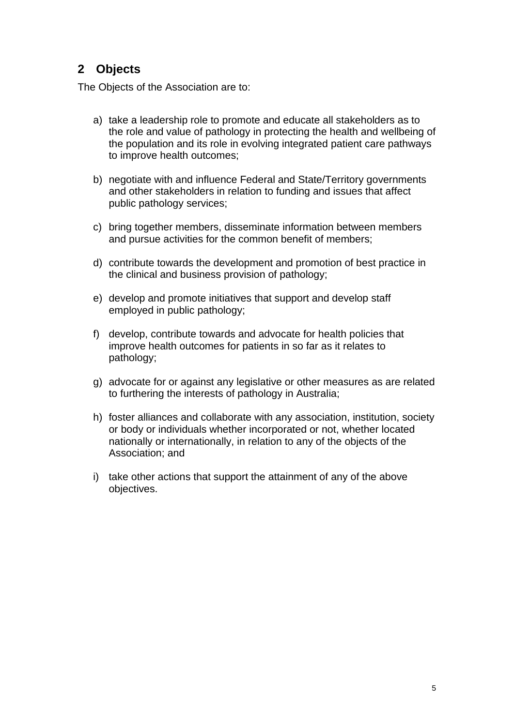### <span id="page-4-0"></span>**2 Objects**

<span id="page-4-1"></span>The Objects of the Association are to:

- a) take a leadership role to promote and educate all stakeholders as to the role and value of pathology in protecting the health and wellbeing of the population and its role in evolving integrated patient care pathways to improve health outcomes;
- b) negotiate with and influence Federal and State/Territory governments and other stakeholders in relation to funding and issues that affect public pathology services;
- c) bring together members, disseminate information between members and pursue activities for the common benefit of members;
- d) contribute towards the development and promotion of best practice in the clinical and business provision of pathology;
- e) develop and promote initiatives that support and develop staff employed in public pathology;
- f) develop, contribute towards and advocate for health policies that improve health outcomes for patients in so far as it relates to pathology;
- g) advocate for or against any legislative or other measures as are related to furthering the interests of pathology in Australia;
- h) foster alliances and collaborate with any association, institution, society or body or individuals whether incorporated or not, whether located nationally or internationally, in relation to any of the objects of the Association; and
- i) take other actions that support the attainment of any of the above objectives.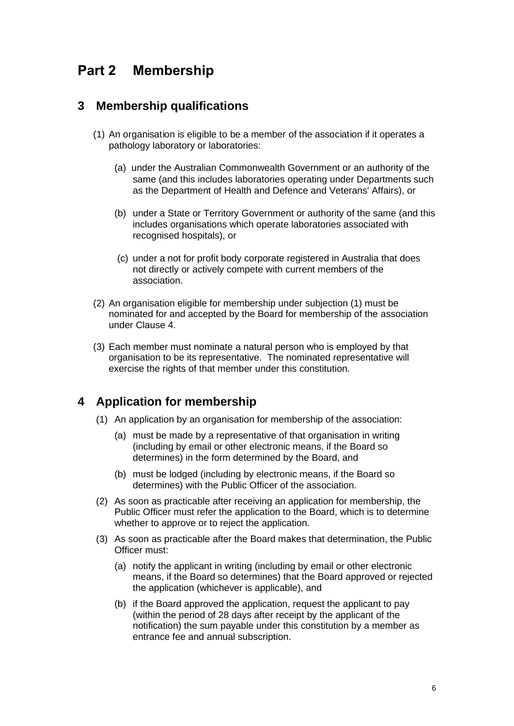## <span id="page-5-0"></span>**Part 2 Membership**

#### <span id="page-5-1"></span>**3 Membership qualifications**

- (1) An organisation is eligible to be a member of the association if it operates a pathology laboratory or laboratories:
	- (a) under the Australian Commonwealth Government or an authority of the same (and this includes laboratories operating under Departments such as the Department of Health and Defence and Veterans' Affairs), or
	- (b) under a State or Territory Government or authority of the same (and this includes organisations which operate laboratories associated with recognised hospitals), or
	- (c) under a not for profit body corporate registered in Australia that does not directly or actively compete with current members of the association.
- (2) An organisation eligible for membership under subjection (1) must be nominated for and accepted by the Board for membership of the association under Clause 4.
- (3) Each member must nominate a natural person who is employed by that organisation to be its representative. The nominated representative will exercise the rights of that member under this constitution.

#### <span id="page-5-2"></span>**4 Application for membership**

- (1) An application by an organisation for membership of the association:
	- (a) must be made by a representative of that organisation in writing (including by email or other electronic means, if the Board so determines) in the form determined by the Board, and
	- (b) must be lodged (including by electronic means, if the Board so determines) with the Public Officer of the association.
- (2) As soon as practicable after receiving an application for membership, the Public Officer must refer the application to the Board, which is to determine whether to approve or to reject the application.
- (3) As soon as practicable after the Board makes that determination, the Public Officer must:
	- (a) notify the applicant in writing (including by email or other electronic means, if the Board so determines) that the Board approved or rejected the application (whichever is applicable), and
	- (b) if the Board approved the application, request the applicant to pay (within the period of 28 days after receipt by the applicant of the notification) the sum payable under this constitution by a member as entrance fee and annual subscription.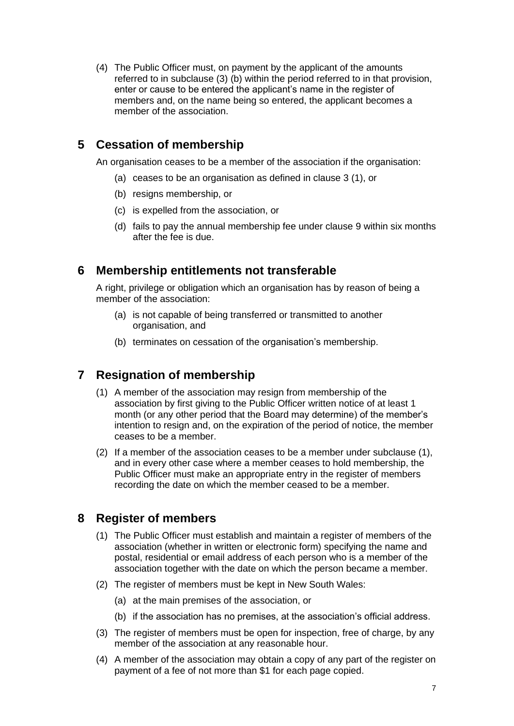(4) The Public Officer must, on payment by the applicant of the amounts referred to in subclause (3) (b) within the period referred to in that provision, enter or cause to be entered the applicant's name in the register of members and, on the name being so entered, the applicant becomes a member of the association.

#### <span id="page-6-0"></span>**5 Cessation of membership**

An organisation ceases to be a member of the association if the organisation:

- (a) ceases to be an organisation as defined in clause 3 (1), or
- (b) resigns membership, or
- (c) is expelled from the association, or
- (d) fails to pay the annual membership fee under clause 9 within six months after the fee is due.

#### <span id="page-6-1"></span>**6 Membership entitlements not transferable**

A right, privilege or obligation which an organisation has by reason of being a member of the association:

- (a) is not capable of being transferred or transmitted to another organisation, and
- (b) terminates on cessation of the organisation's membership.

#### <span id="page-6-2"></span>**7 Resignation of membership**

- (1) A member of the association may resign from membership of the association by first giving to the Public Officer written notice of at least 1 month (or any other period that the Board may determine) of the member's intention to resign and, on the expiration of the period of notice, the member ceases to be a member.
- (2) If a member of the association ceases to be a member under subclause (1), and in every other case where a member ceases to hold membership, the Public Officer must make an appropriate entry in the register of members recording the date on which the member ceased to be a member.

#### <span id="page-6-3"></span>**8 Register of members**

- (1) The Public Officer must establish and maintain a register of members of the association (whether in written or electronic form) specifying the name and postal, residential or email address of each person who is a member of the association together with the date on which the person became a member.
- (2) The register of members must be kept in New South Wales:
	- (a) at the main premises of the association, or
	- (b) if the association has no premises, at the association's official address.
- (3) The register of members must be open for inspection, free of charge, by any member of the association at any reasonable hour.
- (4) A member of the association may obtain a copy of any part of the register on payment of a fee of not more than \$1 for each page copied.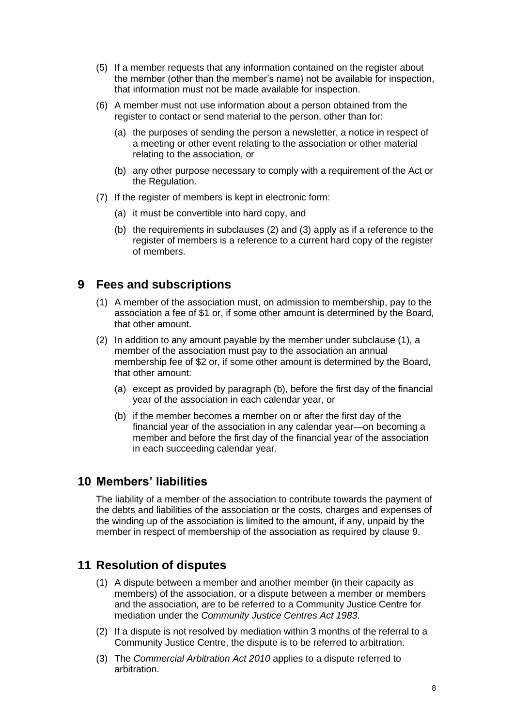- (5) If a member requests that any information contained on the register about the member (other than the member's name) not be available for inspection, that information must not be made available for inspection.
- (6) A member must not use information about a person obtained from the register to contact or send material to the person, other than for:
	- (a) the purposes of sending the person a newsletter, a notice in respect of a meeting or other event relating to the association or other material relating to the association, or
	- (b) any other purpose necessary to comply with a requirement of the Act or the Regulation.
- (7) If the register of members is kept in electronic form:
	- (a) it must be convertible into hard copy, and
	- (b) the requirements in subclauses (2) and (3) apply as if a reference to the register of members is a reference to a current hard copy of the register of members.

#### <span id="page-7-0"></span>**9 Fees and subscriptions**

- (1) A member of the association must, on admission to membership, pay to the association a fee of \$1 or, if some other amount is determined by the Board, that other amount.
- (2) In addition to any amount payable by the member under subclause (1), a member of the association must pay to the association an annual membership fee of \$2 or, if some other amount is determined by the Board, that other amount:
	- (a) except as provided by paragraph (b), before the first day of the financial year of the association in each calendar year, or
	- (b) if the member becomes a member on or after the first day of the financial year of the association in any calendar year—on becoming a member and before the first day of the financial year of the association in each succeeding calendar year.

#### <span id="page-7-1"></span>**10 Members' liabilities**

The liability of a member of the association to contribute towards the payment of the debts and liabilities of the association or the costs, charges and expenses of the winding up of the association is limited to the amount, if any, unpaid by the member in respect of membership of the association as required by clause 9.

#### <span id="page-7-2"></span>**11 Resolution of disputes**

- (1) A dispute between a member and another member (in their capacity as members) of the association, or a dispute between a member or members and the association, are to be referred to a Community Justice Centre for mediation under the *Community Justice Centres Act 1983*.
- (2) If a dispute is not resolved by mediation within 3 months of the referral to a Community Justice Centre, the dispute is to be referred to arbitration.
- (3) The *Commercial Arbitration Act 2010* applies to a dispute referred to arbitration.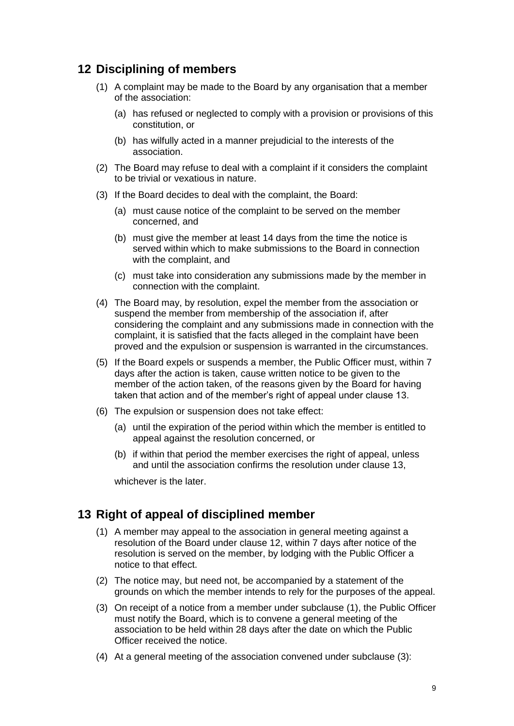#### <span id="page-8-0"></span>**12 Disciplining of members**

- (1) A complaint may be made to the Board by any organisation that a member of the association:
	- (a) has refused or neglected to comply with a provision or provisions of this constitution, or
	- (b) has wilfully acted in a manner prejudicial to the interests of the association.
- (2) The Board may refuse to deal with a complaint if it considers the complaint to be trivial or vexatious in nature.
- (3) If the Board decides to deal with the complaint, the Board:
	- (a) must cause notice of the complaint to be served on the member concerned, and
	- (b) must give the member at least 14 days from the time the notice is served within which to make submissions to the Board in connection with the complaint, and
	- (c) must take into consideration any submissions made by the member in connection with the complaint.
- (4) The Board may, by resolution, expel the member from the association or suspend the member from membership of the association if, after considering the complaint and any submissions made in connection with the complaint, it is satisfied that the facts alleged in the complaint have been proved and the expulsion or suspension is warranted in the circumstances.
- (5) If the Board expels or suspends a member, the Public Officer must, within 7 days after the action is taken, cause written notice to be given to the member of the action taken, of the reasons given by the Board for having taken that action and of the member's right of appeal under clause 13.
- (6) The expulsion or suspension does not take effect:
	- (a) until the expiration of the period within which the member is entitled to appeal against the resolution concerned, or
	- (b) if within that period the member exercises the right of appeal, unless and until the association confirms the resolution under clause 13,

whichever is the later.

#### <span id="page-8-1"></span>**13 Right of appeal of disciplined member**

- (1) A member may appeal to the association in general meeting against a resolution of the Board under clause 12, within 7 days after notice of the resolution is served on the member, by lodging with the Public Officer a notice to that effect.
- (2) The notice may, but need not, be accompanied by a statement of the grounds on which the member intends to rely for the purposes of the appeal.
- (3) On receipt of a notice from a member under subclause (1), the Public Officer must notify the Board, which is to convene a general meeting of the association to be held within 28 days after the date on which the Public Officer received the notice.
- (4) At a general meeting of the association convened under subclause (3):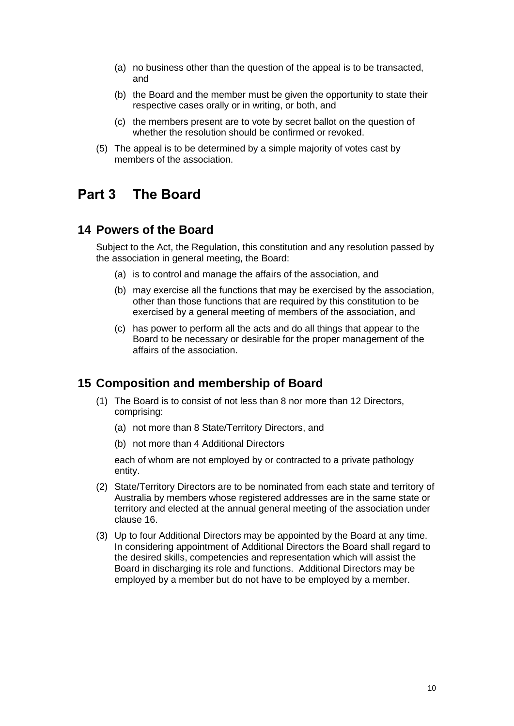- (a) no business other than the question of the appeal is to be transacted, and
- (b) the Board and the member must be given the opportunity to state their respective cases orally or in writing, or both, and
- (c) the members present are to vote by secret ballot on the question of whether the resolution should be confirmed or revoked.
- (5) The appeal is to be determined by a simple majority of votes cast by members of the association.

## <span id="page-9-0"></span>**Part 3 The Board**

#### <span id="page-9-1"></span>**14 Powers of the Board**

Subject to the Act, the Regulation, this constitution and any resolution passed by the association in general meeting, the Board:

- (a) is to control and manage the affairs of the association, and
- (b) may exercise all the functions that may be exercised by the association, other than those functions that are required by this constitution to be exercised by a general meeting of members of the association, and
- (c) has power to perform all the acts and do all things that appear to the Board to be necessary or desirable for the proper management of the affairs of the association.

#### <span id="page-9-2"></span>**15 Composition and membership of Board**

- (1) The Board is to consist of not less than 8 nor more than 12 Directors, comprising:
	- (a) not more than 8 State/Territory Directors, and
	- (b) not more than 4 Additional Directors

each of whom are not employed by or contracted to a private pathology entity.

- (2) State/Territory Directors are to be nominated from each state and territory of Australia by members whose registered addresses are in the same state or territory and elected at the annual general meeting of the association under clause 16.
- (3) Up to four Additional Directors may be appointed by the Board at any time. In considering appointment of Additional Directors the Board shall regard to the desired skills, competencies and representation which will assist the Board in discharging its role and functions. Additional Directors may be employed by a member but do not have to be employed by a member.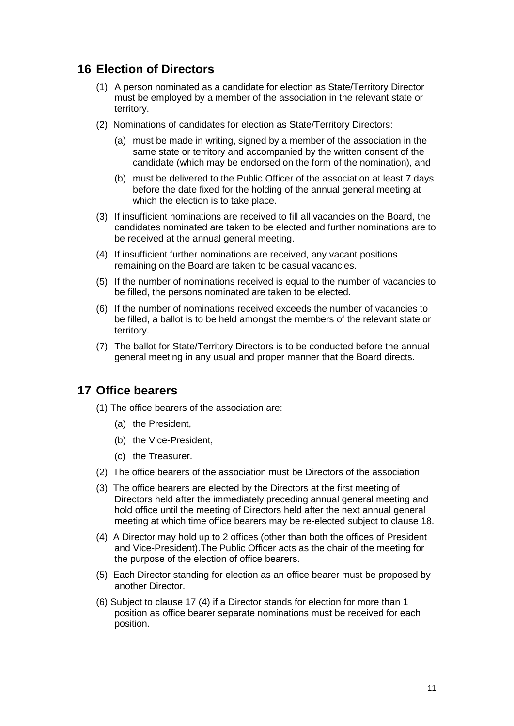#### <span id="page-10-0"></span>**16 Election of Directors**

- (1) A person nominated as a candidate for election as State/Territory Director must be employed by a member of the association in the relevant state or territory.
- (2) Nominations of candidates for election as State/Territory Directors:
	- (a) must be made in writing, signed by a member of the association in the same state or territory and accompanied by the written consent of the candidate (which may be endorsed on the form of the nomination), and
	- (b) must be delivered to the Public Officer of the association at least 7 days before the date fixed for the holding of the annual general meeting at which the election is to take place.
- (3) If insufficient nominations are received to fill all vacancies on the Board, the candidates nominated are taken to be elected and further nominations are to be received at the annual general meeting.
- (4) If insufficient further nominations are received, any vacant positions remaining on the Board are taken to be casual vacancies.
- (5) If the number of nominations received is equal to the number of vacancies to be filled, the persons nominated are taken to be elected.
- (6) If the number of nominations received exceeds the number of vacancies to be filled, a ballot is to be held amongst the members of the relevant state or territory.
- (7) The ballot for State/Territory Directors is to be conducted before the annual general meeting in any usual and proper manner that the Board directs.

#### <span id="page-10-1"></span>**17 Office bearers**

(1) The office bearers of the association are:

- (a) the President,
- (b) the Vice-President,
- (c) the Treasurer.
- (2) The office bearers of the association must be Directors of the association.
- (3) The office bearers are elected by the Directors at the first meeting of Directors held after the immediately preceding annual general meeting and hold office until the meeting of Directors held after the next annual general meeting at which time office bearers may be re-elected subject to clause 18.
- (4) A Director may hold up to 2 offices (other than both the offices of President and Vice-President).The Public Officer acts as the chair of the meeting for the purpose of the election of office bearers.
- (5) Each Director standing for election as an office bearer must be proposed by another Director.
- (6) Subject to clause 17 (4) if a Director stands for election for more than 1 position as office bearer separate nominations must be received for each position.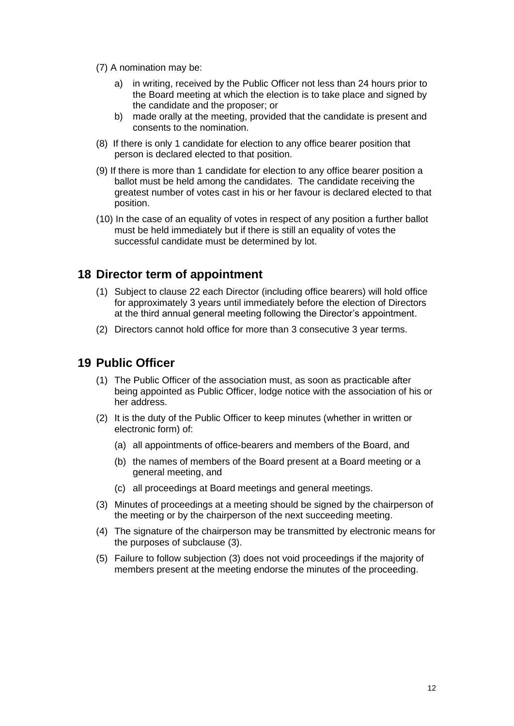- (7) A nomination may be:
	- a) in writing, received by the Public Officer not less than 24 hours prior to the Board meeting at which the election is to take place and signed by the candidate and the proposer; or
	- b) made orally at the meeting, provided that the candidate is present and consents to the nomination.
- (8) If there is only 1 candidate for election to any office bearer position that person is declared elected to that position.
- (9) If there is more than 1 candidate for election to any office bearer position a ballot must be held among the candidates. The candidate receiving the greatest number of votes cast in his or her favour is declared elected to that position.
- (10) In the case of an equality of votes in respect of any position a further ballot must be held immediately but if there is still an equality of votes the successful candidate must be determined by lot.

#### <span id="page-11-0"></span>**18 Director term of appointment**

- (1) Subject to clause 22 each Director (including office bearers) will hold office for approximately 3 years until immediately before the election of Directors at the third annual general meeting following the Director's appointment.
- (2) Directors cannot hold office for more than 3 consecutive 3 year terms.

#### <span id="page-11-1"></span>**19 Public Officer**

- (1) The Public Officer of the association must, as soon as practicable after being appointed as Public Officer, lodge notice with the association of his or her address.
- (2) It is the duty of the Public Officer to keep minutes (whether in written or electronic form) of:
	- (a) all appointments of office-bearers and members of the Board, and
	- (b) the names of members of the Board present at a Board meeting or a general meeting, and
	- (c) all proceedings at Board meetings and general meetings.
- (3) Minutes of proceedings at a meeting should be signed by the chairperson of the meeting or by the chairperson of the next succeeding meeting.
- (4) The signature of the chairperson may be transmitted by electronic means for the purposes of subclause (3).
- <span id="page-11-2"></span>(5) Failure to follow subjection (3) does not void proceedings if the majority of members present at the meeting endorse the minutes of the proceeding.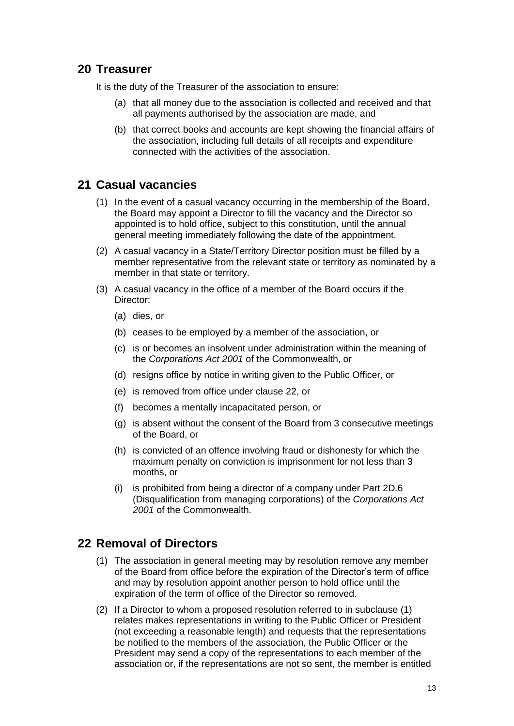#### **20 Treasurer**

It is the duty of the Treasurer of the association to ensure:

- (a) that all money due to the association is collected and received and that all payments authorised by the association are made, and
- (b) that correct books and accounts are kept showing the financial affairs of the association, including full details of all receipts and expenditure connected with the activities of the association.

#### <span id="page-12-0"></span>**21 Casual vacancies**

- (1) In the event of a casual vacancy occurring in the membership of the Board, the Board may appoint a Director to fill the vacancy and the Director so appointed is to hold office, subject to this constitution, until the annual general meeting immediately following the date of the appointment.
- (2) A casual vacancy in a State/Territory Director position must be filled by a member representative from the relevant state or territory as nominated by a member in that state or territory.
- (3) A casual vacancy in the office of a member of the Board occurs if the Director:
	- (a) dies, or
	- (b) ceases to be employed by a member of the association, or
	- (c) is or becomes an insolvent under administration within the meaning of the *[Corporations Act 2001](http://www.comlaw.gov.au/)* of the Commonwealth, or
	- (d) resigns office by notice in writing given to the Public Officer, or
	- (e) is removed from office under clause 22, or
	- (f) becomes a mentally incapacitated person, or
	- (g) is absent without the consent of the Board from 3 consecutive meetings of the Board, or
	- (h) is convicted of an offence involving fraud or dishonesty for which the maximum penalty on conviction is imprisonment for not less than 3 months, or
	- (i) is prohibited from being a director of a company under Part 2D.6 (Disqualification from managing corporations) of the *[Corporations Act](http://www.comlaw.gov.au/)  [2001](http://www.comlaw.gov.au/)* of the Commonwealth.

#### <span id="page-12-1"></span>**22 Removal of Directors**

- (1) The association in general meeting may by resolution remove any member of the Board from office before the expiration of the Director's term of office and may by resolution appoint another person to hold office until the expiration of the term of office of the Director so removed.
- (2) If a Director to whom a proposed resolution referred to in subclause (1) relates makes representations in writing to the Public Officer or President (not exceeding a reasonable length) and requests that the representations be notified to the members of the association, the Public Officer or the President may send a copy of the representations to each member of the association or, if the representations are not so sent, the member is entitled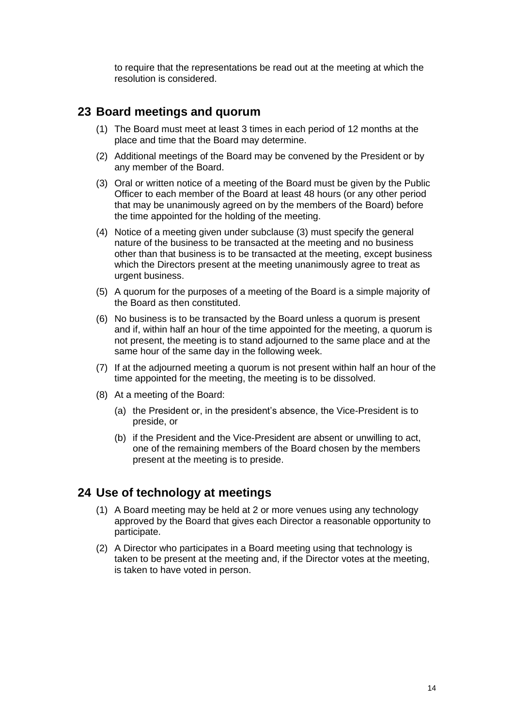to require that the representations be read out at the meeting at which the resolution is considered.

#### <span id="page-13-0"></span>**23 Board meetings and quorum**

- (1) The Board must meet at least 3 times in each period of 12 months at the place and time that the Board may determine.
- (2) Additional meetings of the Board may be convened by the President or by any member of the Board.
- (3) Oral or written notice of a meeting of the Board must be given by the Public Officer to each member of the Board at least 48 hours (or any other period that may be unanimously agreed on by the members of the Board) before the time appointed for the holding of the meeting.
- (4) Notice of a meeting given under subclause (3) must specify the general nature of the business to be transacted at the meeting and no business other than that business is to be transacted at the meeting, except business which the Directors present at the meeting unanimously agree to treat as urgent business.
- (5) A quorum for the purposes of a meeting of the Board is a simple majority of the Board as then constituted.
- (6) No business is to be transacted by the Board unless a quorum is present and if, within half an hour of the time appointed for the meeting, a quorum is not present, the meeting is to stand adjourned to the same place and at the same hour of the same day in the following week.
- (7) If at the adjourned meeting a quorum is not present within half an hour of the time appointed for the meeting, the meeting is to be dissolved.
- (8) At a meeting of the Board:
	- (a) the President or, in the president's absence, the Vice-President is to preside, or
	- (b) if the President and the Vice-President are absent or unwilling to act, one of the remaining members of the Board chosen by the members present at the meeting is to preside.

#### <span id="page-13-1"></span>**24 Use of technology at meetings**

- (1) A Board meeting may be held at 2 or more venues using any technology approved by the Board that gives each Director a reasonable opportunity to participate.
- <span id="page-13-2"></span>(2) A Director who participates in a Board meeting using that technology is taken to be present at the meeting and, if the Director votes at the meeting, is taken to have voted in person.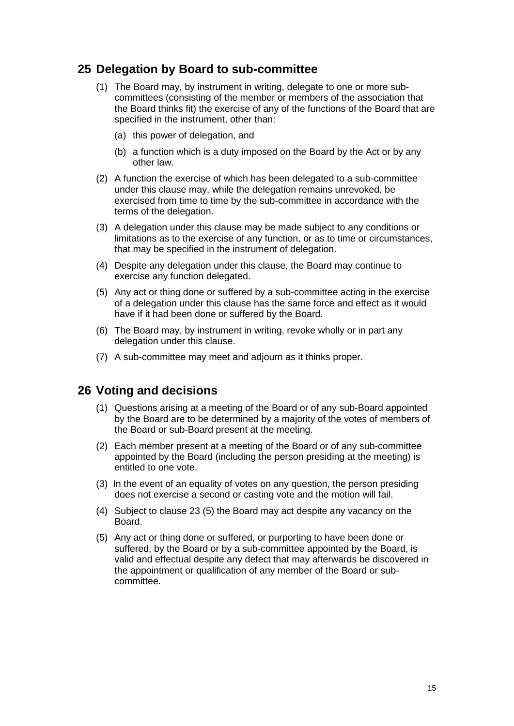#### **25 Delegation by Board to sub-committee**

- (1) The Board may, by instrument in writing, delegate to one or more subcommittees (consisting of the member or members of the association that the Board thinks fit) the exercise of any of the functions of the Board that are specified in the instrument, other than:
	- (a) this power of delegation, and
	- (b) a function which is a duty imposed on the Board by the Act or by any other law.
- (2) A function the exercise of which has been delegated to a sub-committee under this clause may, while the delegation remains unrevoked, be exercised from time to time by the sub-committee in accordance with the terms of the delegation.
- (3) A delegation under this clause may be made subject to any conditions or limitations as to the exercise of any function, or as to time or circumstances, that may be specified in the instrument of delegation.
- (4) Despite any delegation under this clause, the Board may continue to exercise any function delegated.
- (5) Any act or thing done or suffered by a sub-committee acting in the exercise of a delegation under this clause has the same force and effect as it would have if it had been done or suffered by the Board.
- (6) The Board may, by instrument in writing, revoke wholly or in part any delegation under this clause.
- (7) A sub-committee may meet and adjourn as it thinks proper.

#### <span id="page-14-0"></span>**26 Voting and decisions**

- (1) Questions arising at a meeting of the Board or of any sub-Board appointed by the Board are to be determined by a majority of the votes of members of the Board or sub-Board present at the meeting.
- (2) Each member present at a meeting of the Board or of any sub-committee appointed by the Board (including the person presiding at the meeting) is entitled to one vote.
- (3) In the event of an equality of votes on any question, the person presiding does not exercise a second or casting vote and the motion will fail.
- (4) Subject to clause 23 (5) the Board may act despite any vacancy on the Board.
- <span id="page-14-1"></span>(5) Any act or thing done or suffered, or purporting to have been done or suffered, by the Board or by a sub-committee appointed by the Board, is valid and effectual despite any defect that may afterwards be discovered in the appointment or qualification of any member of the Board or subcommittee.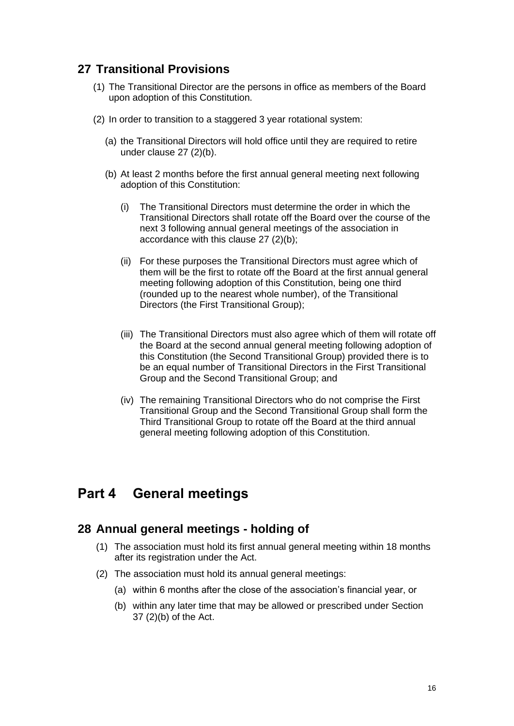#### **27 Transitional Provisions**

- (1) The Transitional Director are the persons in office as members of the Board upon adoption of this Constitution.
- (2) In order to transition to a staggered 3 year rotational system:
	- (a) the Transitional Directors will hold office until they are required to retire under clause 27 (2)(b).
	- (b) At least 2 months before the first annual general meeting next following adoption of this Constitution:
		- (i) The Transitional Directors must determine the order in which the Transitional Directors shall rotate off the Board over the course of the next 3 following annual general meetings of the association in accordance with this clause 27 (2)(b);
		- (ii) For these purposes the Transitional Directors must agree which of them will be the first to rotate off the Board at the first annual general meeting following adoption of this Constitution, being one third (rounded up to the nearest whole number), of the Transitional Directors (the First Transitional Group);
		- (iii) The Transitional Directors must also agree which of them will rotate off the Board at the second annual general meeting following adoption of this Constitution (the Second Transitional Group) provided there is to be an equal number of Transitional Directors in the First Transitional Group and the Second Transitional Group; and
		- (iv) The remaining Transitional Directors who do not comprise the First Transitional Group and the Second Transitional Group shall form the Third Transitional Group to rotate off the Board at the third annual general meeting following adoption of this Constitution.

#### <span id="page-15-0"></span>**Part 4 General meetings**

#### <span id="page-15-1"></span>**28 Annual general meetings - holding of**

- (1) The association must hold its first annual general meeting within 18 months after its registration under the Act.
- (2) The association must hold its annual general meetings:
	- (a) within 6 months after the close of the association's financial year, or
	- (b) within any later time that may be allowed or prescribed under Section 37 (2)(b) of the Act.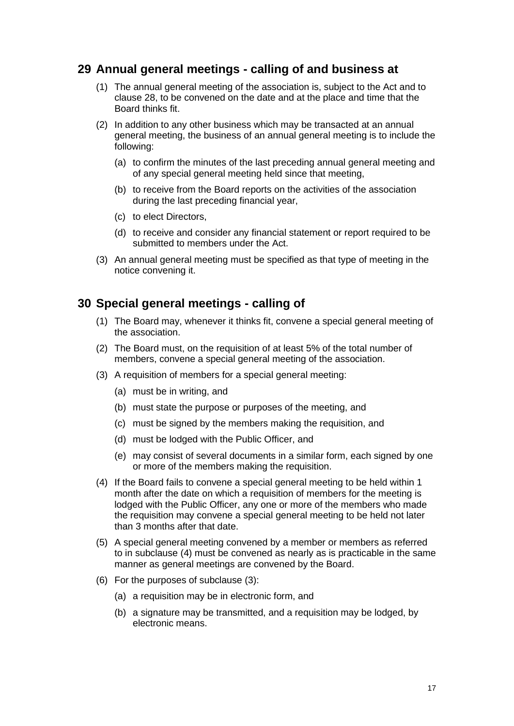#### <span id="page-16-0"></span>**29 Annual general meetings - calling of and business at**

- (1) The annual general meeting of the association is, subject to the Act and to clause 28, to be convened on the date and at the place and time that the Board thinks fit.
- (2) In addition to any other business which may be transacted at an annual general meeting, the business of an annual general meeting is to include the following:
	- (a) to confirm the minutes of the last preceding annual general meeting and of any special general meeting held since that meeting,
	- (b) to receive from the Board reports on the activities of the association during the last preceding financial year,
	- (c) to elect Directors,
	- (d) to receive and consider any financial statement or report required to be submitted to members under the Act.
- (3) An annual general meeting must be specified as that type of meeting in the notice convening it.

#### <span id="page-16-1"></span>**30 Special general meetings - calling of**

- (1) The Board may, whenever it thinks fit, convene a special general meeting of the association.
- (2) The Board must, on the requisition of at least 5% of the total number of members, convene a special general meeting of the association.
- (3) A requisition of members for a special general meeting:
	- (a) must be in writing, and
	- (b) must state the purpose or purposes of the meeting, and
	- (c) must be signed by the members making the requisition, and
	- (d) must be lodged with the Public Officer, and
	- (e) may consist of several documents in a similar form, each signed by one or more of the members making the requisition.
- (4) If the Board fails to convene a special general meeting to be held within 1 month after the date on which a requisition of members for the meeting is lodged with the Public Officer, any one or more of the members who made the requisition may convene a special general meeting to be held not later than 3 months after that date.
- (5) A special general meeting convened by a member or members as referred to in subclause (4) must be convened as nearly as is practicable in the same manner as general meetings are convened by the Board.
- (6) For the purposes of subclause (3):
	- (a) a requisition may be in electronic form, and
	- (b) a signature may be transmitted, and a requisition may be lodged, by electronic means.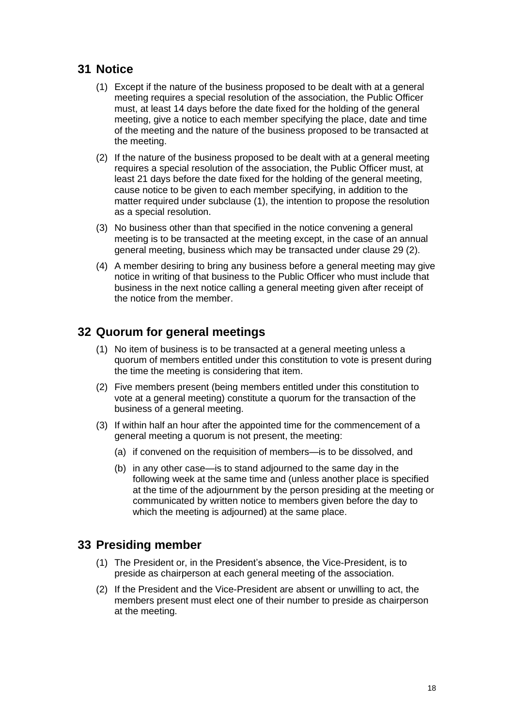#### <span id="page-17-0"></span>**31 Notice**

- (1) Except if the nature of the business proposed to be dealt with at a general meeting requires a special resolution of the association, the Public Officer must, at least 14 days before the date fixed for the holding of the general meeting, give a notice to each member specifying the place, date and time of the meeting and the nature of the business proposed to be transacted at the meeting.
- (2) If the nature of the business proposed to be dealt with at a general meeting requires a special resolution of the association, the Public Officer must, at least 21 days before the date fixed for the holding of the general meeting, cause notice to be given to each member specifying, in addition to the matter required under subclause (1), the intention to propose the resolution as a special resolution.
- (3) No business other than that specified in the notice convening a general meeting is to be transacted at the meeting except, in the case of an annual general meeting, business which may be transacted under clause 29 (2).
- (4) A member desiring to bring any business before a general meeting may give notice in writing of that business to the Public Officer who must include that business in the next notice calling a general meeting given after receipt of the notice from the member.

#### <span id="page-17-1"></span>**32 Quorum for general meetings**

- (1) No item of business is to be transacted at a general meeting unless a quorum of members entitled under this constitution to vote is present during the time the meeting is considering that item.
- (2) Five members present (being members entitled under this constitution to vote at a general meeting) constitute a quorum for the transaction of the business of a general meeting.
- (3) If within half an hour after the appointed time for the commencement of a general meeting a quorum is not present, the meeting:
	- (a) if convened on the requisition of members—is to be dissolved, and
	- (b) in any other case—is to stand adjourned to the same day in the following week at the same time and (unless another place is specified at the time of the adjournment by the person presiding at the meeting or communicated by written notice to members given before the day to which the meeting is adjourned) at the same place.

#### <span id="page-17-2"></span>**33 Presiding member**

- (1) The President or, in the President's absence, the Vice-President, is to preside as chairperson at each general meeting of the association.
- (2) If the President and the Vice-President are absent or unwilling to act, the members present must elect one of their number to preside as chairperson at the meeting.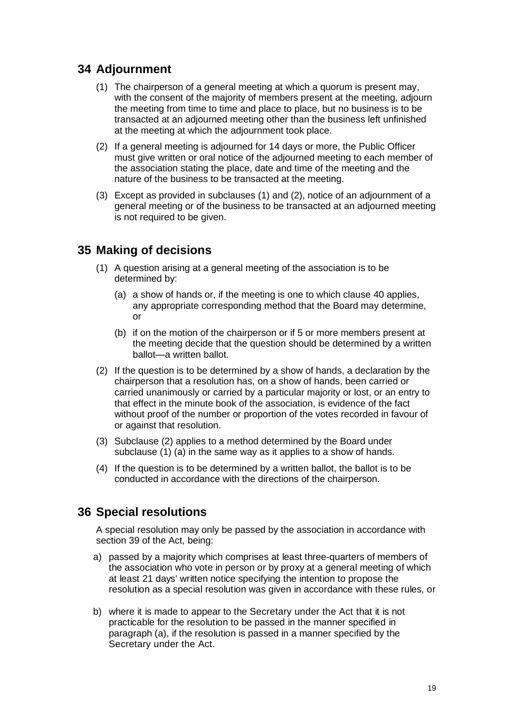#### <span id="page-18-0"></span>**34 Adjournment**

- (1) The chairperson of a general meeting at which a quorum is present may, with the consent of the majority of members present at the meeting, adjourn the meeting from time to time and place to place, but no business is to be transacted at an adjourned meeting other than the business left unfinished at the meeting at which the adjournment took place.
- (2) If a general meeting is adjourned for 14 days or more, the Public Officer must give written or oral notice of the adjourned meeting to each member of the association stating the place, date and time of the meeting and the nature of the business to be transacted at the meeting.
- (3) Except as provided in subclauses (1) and (2), notice of an adjournment of a general meeting or of the business to be transacted at an adjourned meeting is not required to be given.

#### <span id="page-18-1"></span>**35 Making of decisions**

- (1) A question arising at a general meeting of the association is to be determined by:
	- (a) a show of hands or, if the meeting is one to which clause 40 applies, any appropriate corresponding method that the Board may determine, or
	- (b) if on the motion of the chairperson or if 5 or more members present at the meeting decide that the question should be determined by a written ballot—a written ballot.
- (2) If the question is to be determined by a show of hands, a declaration by the chairperson that a resolution has, on a show of hands, been carried or carried unanimously or carried by a particular majority or lost, or an entry to that effect in the minute book of the association, is evidence of the fact without proof of the number or proportion of the votes recorded in favour of or against that resolution.
- (3) Subclause (2) applies to a method determined by the Board under subclause (1) (a) in the same way as it applies to a show of hands.
- (4) If the question is to be determined by a written ballot, the ballot is to be conducted in accordance with the directions of the chairperson.

#### <span id="page-18-2"></span>**36 Special resolutions**

A special resolution may only be passed by the association in accordance with section 39 of the Act, being:

- a) passed by a majority which comprises at least three-quarters of members of the association who vote in person or by proxy at a general meeting of which at least 21 days' written notice specifying the intention to propose the resolution as a special resolution was given in accordance with these rules, or
- b) where it is made to appear to the Secretary under the Act that it is not practicable for the resolution to be passed in the manner specified in paragraph (a), if the resolution is passed in a manner specified by the Secretary under the Act.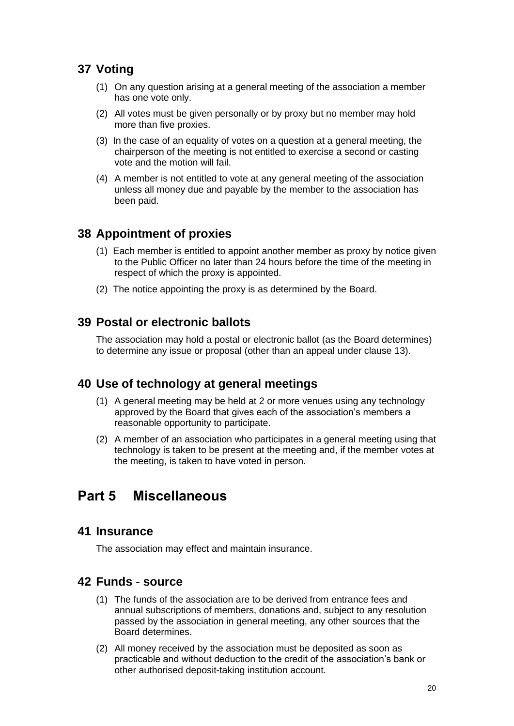#### <span id="page-19-0"></span>**37 Voting**

- (1) On any question arising at a general meeting of the association a member has one vote only.
- (2) All votes must be given personally or by proxy but no member may hold more than five proxies.
- (3) In the case of an equality of votes on a question at a general meeting, the chairperson of the meeting is not entitled to exercise a second or casting vote and the motion will fail.
- (4) A member is not entitled to vote at any general meeting of the association unless all money due and payable by the member to the association has been paid.

#### <span id="page-19-1"></span>**38 Appointment of proxies**

- (1) Each member is entitled to appoint another member as proxy by notice given to the Public Officer no later than 24 hours before the time of the meeting in respect of which the proxy is appointed.
- (2) The notice appointing the proxy is as determined by the Board.

#### <span id="page-19-2"></span>**39 Postal or electronic ballots**

The association may hold a postal or electronic ballot (as the Board determines) to determine any issue or proposal (other than an appeal under clause 13).

#### <span id="page-19-3"></span>**40 Use of technology at general meetings**

- (1) A general meeting may be held at 2 or more venues using any technology approved by the Board that gives each of the association's members a reasonable opportunity to participate.
- (2) A member of an association who participates in a general meeting using that technology is taken to be present at the meeting and, if the member votes at the meeting, is taken to have voted in person.

## <span id="page-19-4"></span>**Part 5 Miscellaneous**

#### <span id="page-19-5"></span>**41 Insurance**

The association may effect and maintain insurance.

#### <span id="page-19-6"></span>**42 Funds - source**

- (1) The funds of the association are to be derived from entrance fees and annual subscriptions of members, donations and, subject to any resolution passed by the association in general meeting, any other sources that the Board determines.
- (2) All money received by the association must be deposited as soon as practicable and without deduction to the credit of the association's bank or other authorised deposit-taking institution account.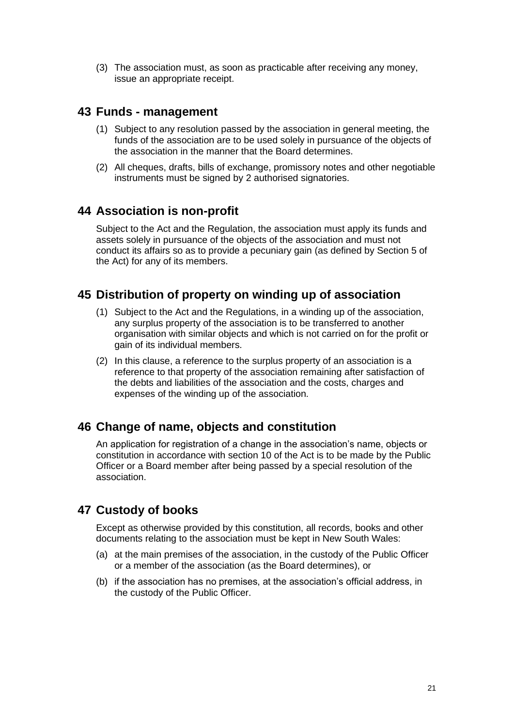(3) The association must, as soon as practicable after receiving any money, issue an appropriate receipt.

#### <span id="page-20-0"></span>**43 Funds - management**

- (1) Subject to any resolution passed by the association in general meeting, the funds of the association are to be used solely in pursuance of the objects of the association in the manner that the Board determines.
- (2) All cheques, drafts, bills of exchange, promissory notes and other negotiable instruments must be signed by 2 authorised signatories.

#### <span id="page-20-1"></span>**44 Association is non-profit**

Subject to the Act and the Regulation, the association must apply its funds and assets solely in pursuance of the objects of the association and must not conduct its affairs so as to provide a pecuniary gain (as defined by Section 5 of the Act) for any of its members.

#### <span id="page-20-2"></span>**45 Distribution of property on winding up of association**

- (1) Subject to the Act and the Regulations, in a winding up of the association, any surplus property of the association is to be transferred to another organisation with similar objects and which is not carried on for the profit or gain of its individual members.
- (2) In this clause, a reference to the surplus property of an association is a reference to that property of the association remaining after satisfaction of the debts and liabilities of the association and the costs, charges and expenses of the winding up of the association.

#### <span id="page-20-3"></span>**46 Change of name, objects and constitution**

An application for registration of a change in the association's name, objects or constitution in accordance with section 10 of the Act is to be made by the Public Officer or a Board member after being passed by a special resolution of the association.

#### <span id="page-20-4"></span>**47 Custody of books**

Except as otherwise provided by this constitution, all records, books and other documents relating to the association must be kept in New South Wales:

- (a) at the main premises of the association, in the custody of the Public Officer or a member of the association (as the Board determines), or
- (b) if the association has no premises, at the association's official address, in the custody of the Public Officer.